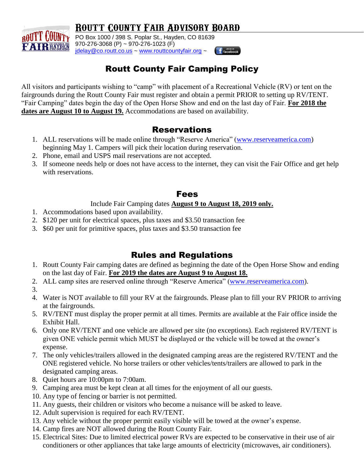## **Routt County Fair Advisory Board**



**ROUTT COUNTY** PO Box 1000 / 398 S. Poplar St., Hayden, CO 81639 970-276-3068 (P) ~ 970-276-1023 (F) [jdelay@co.routt.co.us](mailto:jdelay@co.routt.co.us) ~ [www.routtcountyfair.org](http://www.routtcountyfair.org/) ~



## Routt County Fair Camping Policy

All visitors and participants wishing to "camp" with placement of a Recreational Vehicle (RV) or tent on the fairgrounds during the Routt County Fair must register and obtain a permit PRIOR to setting up RV/TENT. "Fair Camping" dates begin the day of the Open Horse Show and end on the last day of Fair. **For 2018 the dates are August 10 to August 19.** Accommodations are based on availability.

### Reservations

- 1. ALL reservations will be made online through "Reserve America" [\(www.reserveamerica.com\)](http://www.reserveamerica.com/) beginning May 1. Campers will pick their location during reservation.
- 2. Phone, email and USPS mail reservations are not accepted.
- 3. If someone needs help or does not have access to the internet, they can visit the Fair Office and get help with reservations.

#### Fees

#### Include Fair Camping dates **August 9 to August 18, 2019 only.**

- 1. Accommodations based upon availability.
- 2. \$120 per unit for electrical spaces, plus taxes and \$3.50 transaction fee
- 3. \$60 per unit for primitive spaces, plus taxes and \$3.50 transaction fee

## Rules and Regulations

- 1. Routt County Fair camping dates are defined as beginning the date of the Open Horse Show and ending on the last day of Fair. **For 2019 the dates are August 9 to August 18.**
- 2. ALL camp sites are reserved online through "Reserve America" [\(www.reserveamerica.com\)](http://www.reserveamerica.com/).
- 3.
- 4. Water is NOT available to fill your RV at the fairgrounds. Please plan to fill your RV PRIOR to arriving at the fairgrounds.
- 5. RV/TENT must display the proper permit at all times. Permits are available at the Fair office inside the Exhibit Hall.
- 6. Only one RV/TENT and one vehicle are allowed per site (no exceptions). Each registered RV/TENT is given ONE vehicle permit which MUST be displayed or the vehicle will be towed at the owner's expense.
- 7. The only vehicles/trailers allowed in the designated camping areas are the registered RV/TENT and the ONE registered vehicle. No horse trailers or other vehicles/tents/trailers are allowed to park in the designated camping areas.
- 8. Quiet hours are 10:00pm to 7:00am.
- 9. Camping area must be kept clean at all times for the enjoyment of all our guests.
- 10. Any type of fencing or barrier is not permitted.
- 11. Any guests, their children or visitors who become a nuisance will be asked to leave.
- 12. Adult supervision is required for each RV/TENT.
- 13. Any vehicle without the proper permit easily visible will be towed at the owner's expense.
- 14. Camp fires are NOT allowed during the Routt County Fair.
- 15. Electrical Sites: Due to limited electrical power RVs are expected to be conservative in their use of air conditioners or other appliances that take large amounts of electricity (microwaves, air conditioners).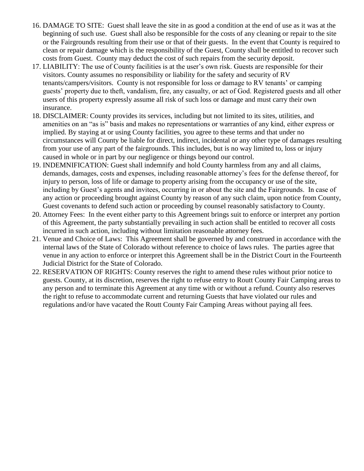- 16. DAMAGE TO SITE: Guest shall leave the site in as good a condition at the end of use as it was at the beginning of such use. Guest shall also be responsible for the costs of any cleaning or repair to the site or the Fairgrounds resulting from their use or that of their guests. In the event that County is required to clean or repair damage which is the responsibility of the Guest, County shall be entitled to recover such costs from Guest. County may deduct the cost of such repairs from the security deposit.
- 17. LIABILITY: The use of County facilities is at the user's own risk. Guests are responsible for their visitors. County assumes no responsibility or liability for the safety and security of RV tenants/campers/visitors. County is not responsible for loss or damage to RV tenants' or camping guests' property due to theft, vandalism, fire, any casualty, or act of God. Registered guests and all other users of this property expressly assume all risk of such loss or damage and must carry their own insurance.
- 18. DISCLAIMER: County provides its services, including but not limited to its sites, utilities, and amenities on an "as is" basis and makes no representations or warranties of any kind, either express or implied. By staying at or using County facilities, you agree to these terms and that under no circumstances will County be liable for direct, indirect, incidental or any other type of damages resulting from your use of any part of the fairgrounds. This includes, but is no way limited to, loss or injury caused in whole or in part by our negligence or things beyond our control.
- 19. INDEMNIFICATION: Guest shall indemnify and hold County harmless from any and all claims, demands, damages, costs and expenses, including reasonable attorney's fees for the defense thereof, for injury to person, loss of life or damage to property arising from the occupancy or use of the site, including by Guest's agents and invitees, occurring in or about the site and the Fairgrounds. In case of any action or proceeding brought against County by reason of any such claim, upon notice from County, Guest covenants to defend such action or proceeding by counsel reasonably satisfactory to County.
- 20. Attorney Fees: In the event either party to this Agreement brings suit to enforce or interpret any portion of this Agreement, the party substantially prevailing in such action shall be entitled to recover all costs incurred in such action, including without limitation reasonable attorney fees.
- 21. Venue and Choice of Laws: This Agreement shall be governed by and construed in accordance with the internal laws of the State of Colorado without reference to choice of laws rules. The parties agree that venue in any action to enforce or interpret this Agreement shall be in the District Court in the Fourteenth Judicial District for the State of Colorado.
- 22. RESERVATION OF RIGHTS: County reserves the right to amend these rules without prior notice to guests. County, at its discretion, reserves the right to refuse entry to Routt County Fair Camping areas to any person and to terminate this Agreement at any time with or without a refund. County also reserves the right to refuse to accommodate current and returning Guests that have violated our rules and regulations and/or have vacated the Routt County Fair Camping Areas without paying all fees.